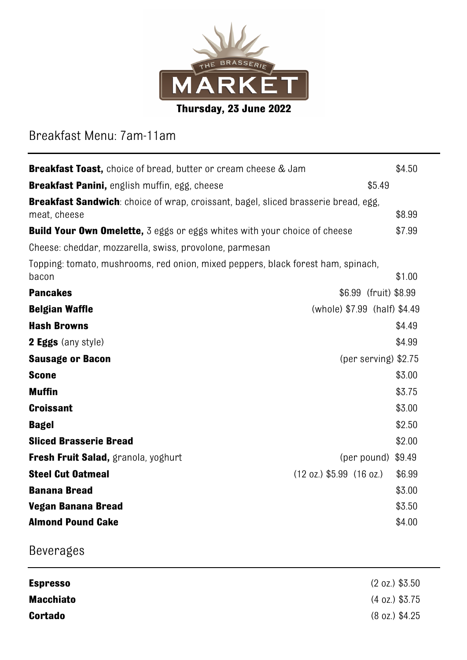

# Breakfast Menu: 7am-11am

| <b>Breakfast Toast,</b> choice of bread, butter or cream cheese & Jam                              |                                              |        |  |
|----------------------------------------------------------------------------------------------------|----------------------------------------------|--------|--|
| Breakfast Panini, english muffin, egg, cheese<br>\$5.49                                            |                                              |        |  |
| Breakfast Sandwich: choice of wrap, croissant, bagel, sliced brasserie bread, egg,<br>meat, cheese |                                              | \$8.99 |  |
| <b>Build Your Own Omelette,</b> 3 eggs or eggs whites with your choice of cheese                   |                                              | \$7.99 |  |
| Cheese: cheddar, mozzarella, swiss, provolone, parmesan                                            |                                              |        |  |
| Topping: tomato, mushrooms, red onion, mixed peppers, black forest ham, spinach,<br>bacon          |                                              | \$1.00 |  |
| <b>Pancakes</b>                                                                                    | \$6.99 (fruit) \$8.99                        |        |  |
| <b>Belgian Waffle</b>                                                                              | (whole) \$7.99 (half) \$4.49                 |        |  |
| <b>Hash Browns</b>                                                                                 |                                              | \$4.49 |  |
| <b>2 Eggs</b> (any style)                                                                          |                                              | \$4.99 |  |
| <b>Sausage or Bacon</b>                                                                            | (per serving) $$2.75$                        |        |  |
| <b>Scone</b>                                                                                       |                                              | \$3.00 |  |
| <b>Muffin</b>                                                                                      |                                              | \$3.75 |  |
| <b>Croissant</b>                                                                                   |                                              | \$3.00 |  |
| <b>Bagel</b>                                                                                       |                                              | \$2.50 |  |
| <b>Sliced Brasserie Bread</b>                                                                      |                                              | \$2.00 |  |
| Fresh Fruit Salad, granola, yoghurt                                                                | (per pound) $$9.49$                          |        |  |
| <b>Steel Cut Oatmeal</b>                                                                           | $(12 \text{ oz.})$ \$5.99 $(16 \text{ oz.})$ | \$6.99 |  |
| <b>Banana Bread</b>                                                                                |                                              | \$3.00 |  |
| <b>Vegan Banana Bread</b>                                                                          |                                              | \$3.50 |  |
| <b>Almond Pound Cake</b>                                                                           |                                              | \$4.00 |  |

# Beverages

| <b>Espresso</b>  | $(2 \text{ oz.})$ \$3.50 |
|------------------|--------------------------|
| <b>Macchiato</b> | $(4 \text{ oz.})$ \$3.75 |
| <b>Cortado</b>   | $(8 \text{ oz.})$ \$4.25 |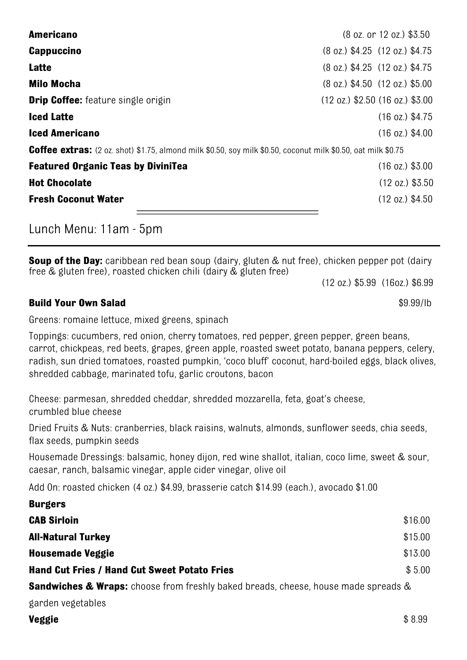| <b>Americano</b>                                                                                                     | (8 oz. or 12 oz.) \$3.50                            |  |  |
|----------------------------------------------------------------------------------------------------------------------|-----------------------------------------------------|--|--|
| <b>Cappuccino</b>                                                                                                    | $(8$ oz.) \$4.25 $(12$ oz.) \$4.75                  |  |  |
| Latte                                                                                                                | $(8$ oz.) \$4.25 $(12$ oz.) \$4.75                  |  |  |
| <b>Milo Mocha</b>                                                                                                    | $(8 \text{ oz.})$ \$4.50 $(12 \text{ oz.})$ \$5.00  |  |  |
| <b>Drip Coffee:</b> feature single origin                                                                            | $(12 \text{ oz.})$ \$2.50 $(16 \text{ oz.})$ \$3.00 |  |  |
| <b>Iced Latte</b>                                                                                                    | $(16 \text{ oz.})$ \$4.75                           |  |  |
| <b>Iced Americano</b>                                                                                                | $(16 \text{ oz.})$ \$4.00                           |  |  |
| <b>Coffee extras:</b> (2 oz. shot) \$1.75, almond milk \$0.50, soy milk \$0.50, coconut milk \$0.50, oat milk \$0.75 |                                                     |  |  |
| <b>Featured Organic Teas by DiviniTea</b>                                                                            | $(16 \text{ oz.})$ \$3.00                           |  |  |
| <b>Hot Chocolate</b>                                                                                                 | $(12 \text{ oz.})$ \$3.50                           |  |  |
| <b>Fresh Coconut Water</b>                                                                                           | $(12 \text{ oz.})$ \$4.50                           |  |  |
|                                                                                                                      |                                                     |  |  |

Lunch Menu: 11am - 5pm

**Soup of the Day:** caribbean red bean soup (dairy, gluten & nut free), chicken pepper pot (dairy free & gluten free), roasted chicken chili (dairy & gluten free)

(12 oz.) \$5.99 (16oz.) \$6.99

### **Build Your Own Salad**  $\frac{10}{99}$  S9.99/lb

Greens: romaine lettuce, mixed greens, spinach

Toppings: cucumbers, red onion, cherry tomatoes, red pepper, green pepper, green beans, carrot, chickpeas, red beets, grapes, green apple, roasted sweet potato, banana peppers, celery, radish, sun dried tomatoes, roasted pumpkin, 'coco bluff' coconut, hard-boiled eggs, black olives, shredded cabbage, marinated tofu, garlic croutons, bacon

Cheese: parmesan, shredded cheddar, shredded mozzarella, feta, goat's cheese, crumbled blue cheese

Dried Fruits & Nuts: cranberries, black raisins, walnuts, almonds, sunflower seeds, chia seeds, flax seeds, pumpkin seeds

Housemade Dressings: balsamic, honey dijon, red wine shallot, italian, coco lime, sweet & sour, caesar, ranch, balsamic vinegar, apple cider vinegar, olive oil

Add On: roasted chicken (4 oz.) \$4.99, brasserie catch \$14.99 (each.), avocado \$1.00

| <b>Burgers</b>                                                                                |         |  |
|-----------------------------------------------------------------------------------------------|---------|--|
| <b>CAB Sirloin</b>                                                                            | \$16.00 |  |
| <b>All-Natural Turkey</b>                                                                     | \$15.00 |  |
| <b>Housemade Veggie</b>                                                                       | \$13.00 |  |
| <b>Hand Cut Fries / Hand Cut Sweet Potato Fries</b>                                           | \$5.00  |  |
| <b>Sandwiches &amp; Wraps:</b> choose from freshly baked breads, cheese, house made spreads & |         |  |

garden vegetables

**Veggie**  $$8.99$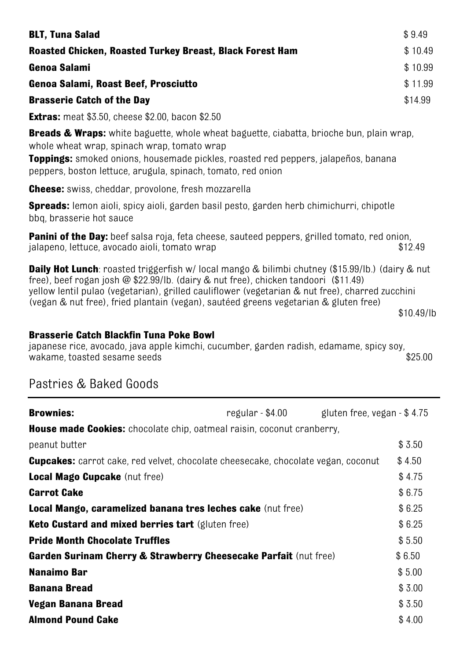| <b>BLT, Tuna Salad</b>                                   | \$9.49  |
|----------------------------------------------------------|---------|
| Roasted Chicken, Roasted Turkey Breast, Black Forest Ham | \$10.49 |
| Genoa Salami                                             | \$10.99 |
| Genoa Salami, Roast Beef, Prosciutto                     | \$11.99 |
| <b>Brasserie Catch of the Day</b>                        | \$14.99 |
| <b>Extras:</b> meat \$3.50, cheese \$2.00, bacon \$2.50  |         |

**Breads & Wraps:** white baguette, whole wheat baguette, ciabatta, brioche bun, plain wrap, whole wheat wrap, spinach wrap, tomato wrap

**Toppings:** smoked onions, housemade pickles, roasted red peppers, jalapeños, banana peppers, boston lettuce, arugula, spinach, tomato, red onion

**Cheese:** swiss, cheddar, provolone, fresh mozzarella

**Spreads:** lemon aioli, spicy aioli, garden basil pesto, garden herb chimichurri, chipotle bbq, brasserie hot sauce

**Panini of the Day:** beef salsa roja, feta cheese, sauteed peppers, grilled tomato, red onion, jalapeno, lettuce, avocado aioli, tomato wrap \$12.49

**Daily Hot Lunch**: roasted triggerfish w/ local mango & bilimbi chutney (\$15.99/lb.) (dairy & nut free), beef rogan josh @ \$22.99/lb. (dairy & nut free), chicken tandoori (\$11.49) yellow lentil pulao (vegetarian), grilled cauliflower (vegetarian & nut free), charred zucchini (vegan & nut free), fried plantain (vegan), sautéed greens vegetarian & gluten free)

\$10.49/lb

#### **Brasserie Catch Blackfin Tuna Poke Bowl**

japanese rice, avocado, java apple kimchi, cucumber, garden radish, edamame, spicy soy, wakame, toasted sesame seeds

### Pastries & Baked Goods

| <b>Brownies:</b>                                                                         | regular - \$4.00 | gluten free, vegan - \$4.75 |        |  |
|------------------------------------------------------------------------------------------|------------------|-----------------------------|--------|--|
| <b>House made Cookies:</b> chocolate chip, oatmeal raisin, coconut cranberry,            |                  |                             |        |  |
| peanut butter                                                                            |                  |                             | \$3.50 |  |
| <b>Cupcakes:</b> carrot cake, red velvet, chocolate cheesecake, chocolate vegan, coconut |                  |                             | \$4.50 |  |
| Local Mago Cupcake (nut free)                                                            |                  |                             | \$4.75 |  |
| <b>Carrot Cake</b>                                                                       |                  |                             | \$6.75 |  |
| Local Mango, caramelized banana tres leches cake (nut free)                              |                  |                             | \$6.25 |  |
| Keto Custard and mixed berries tart (gluten free)                                        |                  |                             | \$6.25 |  |
| <b>Pride Month Chocolate Truffles</b>                                                    |                  |                             | \$5.50 |  |
| Garden Surinam Cherry & Strawberry Cheesecake Parfait (nut free)                         |                  |                             | \$6.50 |  |
| Nanaimo Bar                                                                              |                  |                             | \$5.00 |  |
| <b>Banana Bread</b>                                                                      |                  |                             | \$3.00 |  |
| Vegan Banana Bread                                                                       |                  |                             | \$3.50 |  |
| <b>Almond Pound Cake</b>                                                                 |                  |                             | \$4.00 |  |